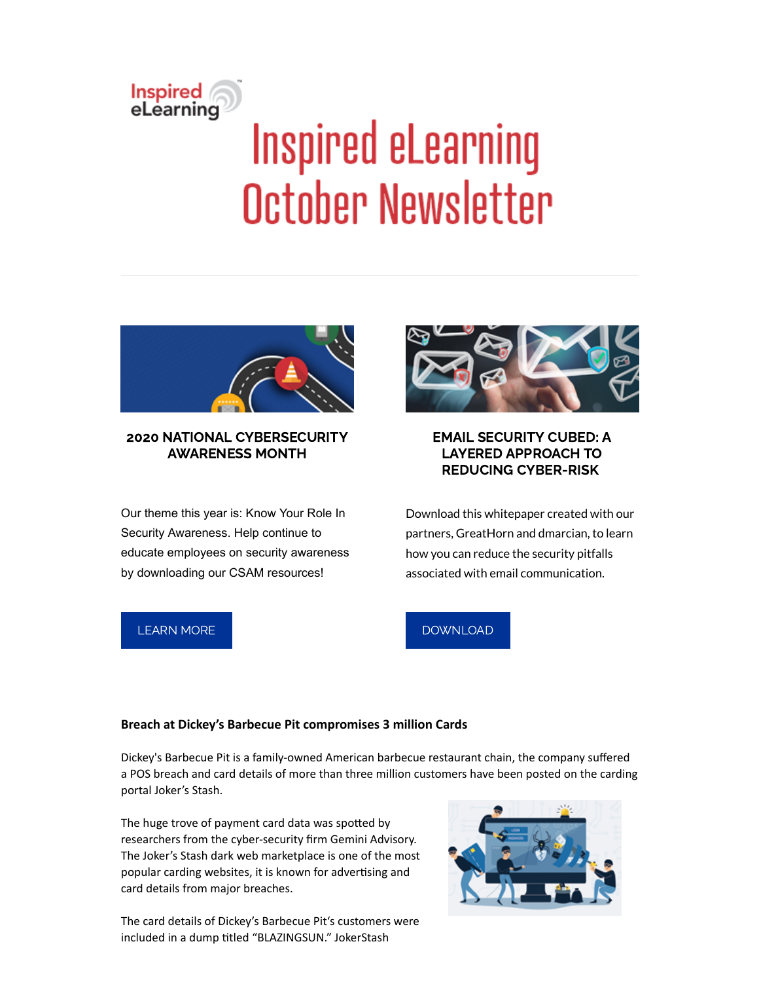# Inspired<br>eLearning **Inspired eLearning** October Newsletter



# 2020 NATIONAL CYBERSECURITY AWARENESS MONTH

Our theme this year is: Know Your Role In Security Awareness. Help continue to educate employees on security awareness by downloading our CSAM resources!



# EMAIL SECURITY CUBED: A LAYERED APPROACH TO REDUCING CYBER-RISK

Download this whitepaper created with our partners, GreatHorn and dmarcian, to learn how you can reduce the security pitfalls associated with email communication.

# [LEARN](https://inspiredelearning.com/free-resources/cybersecurity-awareness-month-2020/) MORE

# [DOWNLOAD](https://inspiredelearning.com/resource/email-security-cubed/)

#### **Breach at Dickey's Barbecue Pit compromises 3 million Cards**

Dickey's Barbecue Pit is a family-owned American barbecue restaurant chain, the company suffered a POS breach and card details of more than three million customers have been posted on the carding portal Joker's Stash.

The huge trove of payment card data was spotted by researchers from the cyber-security firm Gemini Advisory. The Joker's Stash dark web marketplace is one of the most popular carding websites, it is known for advertising and card details from major breaches.

The card details of Dickey's Barbecue Pit's customers were included in a dump titled "BLAZINGSUN." JokerStash

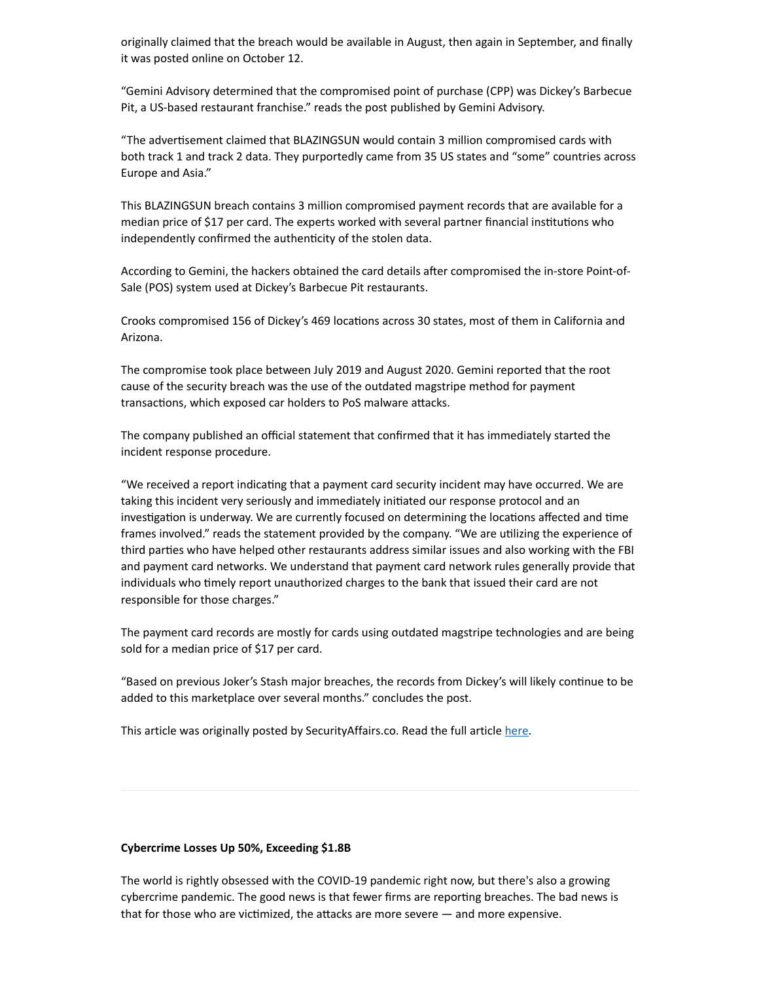originally claimed that the breach would be available in August, then again in September, and finally it was posted online on October 12.

"Gemini Advisory determined that the compromised point of purchase (CPP) was Dickey's Barbecue Pit, a US-based restaurant franchise." reads the post published by Gemini Advisory.

"The advertisement claimed that BLAZINGSUN would contain 3 million compromised cards with both track 1 and track 2 data. They purportedly came from 35 US states and "some" countries across Europe and Asia."

This BLAZINGSUN breach contains 3 million compromised payment records that are available for a median price of \$17 per card. The experts worked with several partner financial institutions who independently confirmed the authenticity of the stolen data.

According to Gemini, the hackers obtained the card details after compromised the in-store Point-of-Sale (POS) system used at Dickey's Barbecue Pit restaurants.

Crooks compromised 156 of Dickey's 469 locations across 30 states, most of them in California and Arizona.

The compromise took place between July 2019 and August 2020. Gemini reported that the root cause of the security breach was the use of the outdated magstripe method for payment transactions, which exposed car holders to PoS malware attacks.

The company published an official statement that confirmed that it has immediately started the incident response procedure.

"We received a report indicating that a payment card security incident may have occurred. We are taking this incident very seriously and immediately initiated our response protocol and an investigation is underway. We are currently focused on determining the locations affected and time frames involved." reads the statement provided by the company. "We are utilizing the experience of third parties who have helped other restaurants address similar issues and also working with the FBI and payment card networks. We understand that payment card network rules generally provide that individuals who timely report unauthorized charges to the bank that issued their card are not responsible for those charges."

The payment card records are mostly for cards using outdated magstripe technologies and are being sold for a median price of \$17 per card.

"Based on previous Joker's Stash major breaches, the records from Dickey's will likely continue to be added to this marketplace over several months." concludes the post.

This article was originally posted by SecurityAffairs.co. Read the full article [here](https://securityaffairs.co/wordpress/109583/data-breach/dickeys-barbecue-pit-pos-breach.html).

#### **Cybercrime Losses Up 50%, Exceeding \$1.8B**

The world is rightly obsessed with the COVID-19 pandemic right now, but there's also a growing cybercrime pandemic. The good news is that fewer firms are reporting breaches. The bad news is that for those who are victimized, the attacks are more severe  $-$  and more expensive.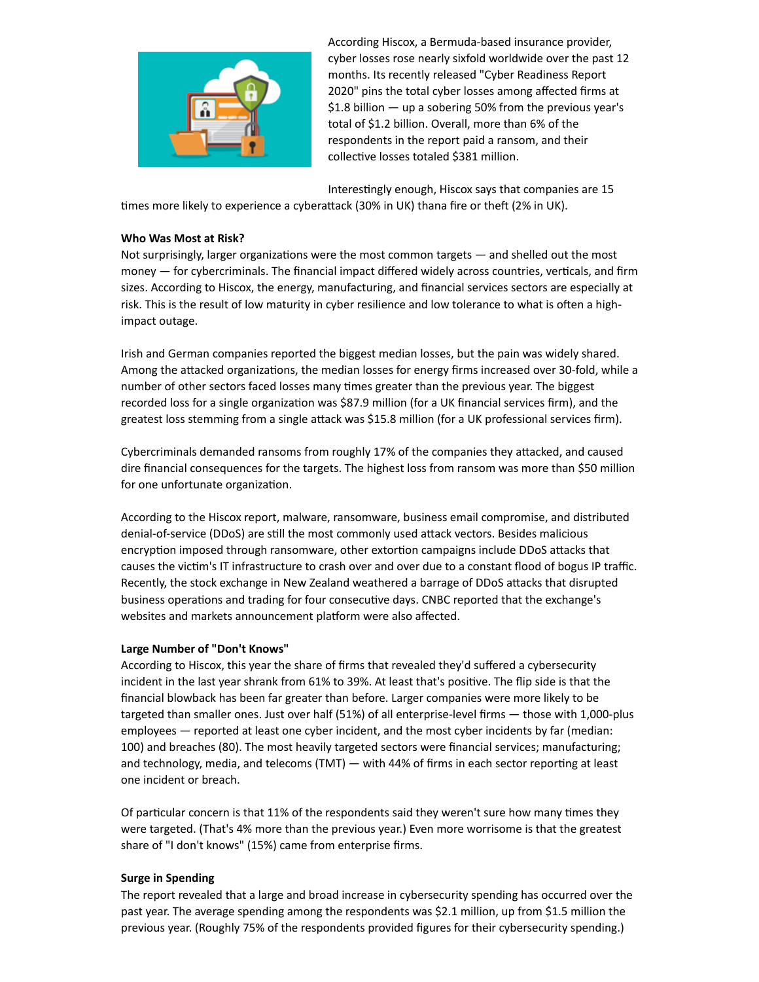

According Hiscox, a Bermuda-based insurance provider, cyber losses rose nearly sixfold worldwide over the past 12 months. Its recently released "Cyber Readiness Report 2020" pins the total cyber losses among affected firms at \$1.8 billion — up a sobering 50% from the previous year's total of \$1.2 billion. Overall, more than 6% of the respondents in the report paid a ransom, and their collective losses totaled \$381 million.

Interestingly enough, Hiscox says that companies are 15

times more likely to experience a cyberattack (30% in UK) thana fire or theft (2% in UK).

#### **Who Was Most at Risk?**

Not surprisingly, larger organizations were the most common targets  $-$  and shelled out the most money  $-$  for cybercriminals. The financial impact differed widely across countries, verticals, and firm sizes. According to Hiscox, the energy, manufacturing, and financial services sectors are especially at risk. This is the result of low maturity in cyber resilience and low tolerance to what is often a highimpact outage.

Irish and German companies reported the biggest median losses, but the pain was widely shared. Among the attacked organizations, the median losses for energy firms increased over 30-fold, while a number of other sectors faced losses many times greater than the previous year. The biggest recorded loss for a single organization was \$87.9 million (for a UK financial services firm), and the greatest loss stemming from a single attack was \$15.8 million (for a UK professional services firm).

Cybercriminals demanded ransoms from roughly 17% of the companies they attacked, and caused dire financial consequences for the targets. The highest loss from ransom was more than \$50 million for one unfortunate organization.

According to the Hiscox report, malware, ransomware, business email compromise, and distributed denial-of-service (DDoS) are still the most commonly used attack vectors. Besides malicious encryption imposed through ransomware, other extortion campaigns include DDoS attacks that causes the victim's IT infrastructure to crash over and over due to a constant flood of bogus IP traffic. Recently, the stock exchange in New Zealand weathered a barrage of DDoS attacks that disrupted business operations and trading for four consecutive days. CNBC reported that the exchange's websites and markets announcement platform were also affected.

#### **Large Number of "Don't Knows"**

According to Hiscox, this year the share of firms that revealed they'd suffered a cybersecurity incident in the last year shrank from 61% to 39%. At least that's positive. The flip side is that the financial blowback has been far greater than before. Larger companies were more likely to be targeted than smaller ones. Just over half (51%) of all enterprise-level firms — those with 1,000-plus employees — reported at least one cyber incident, and the most cyber incidents by far (median: 100) and breaches (80). The most heavily targeted sectors were financial services; manufacturing; and technology, media, and telecoms (TMT)  $-$  with 44% of firms in each sector reporting at least one incident or breach.

Of particular concern is that 11% of the respondents said they weren't sure how many times they were targeted. (That's 4% more than the previous year.) Even more worrisome is that the greatest share of "I don't knows" (15%) came from enterprise firms.

### **Surge in Spending**

The report revealed that a large and broad increase in cybersecurity spending has occurred over the past year. The average spending among the respondents was \$2.1 million, up from \$1.5 million the previous year. (Roughly 75% of the respondents provided figures for their cybersecurity spending.)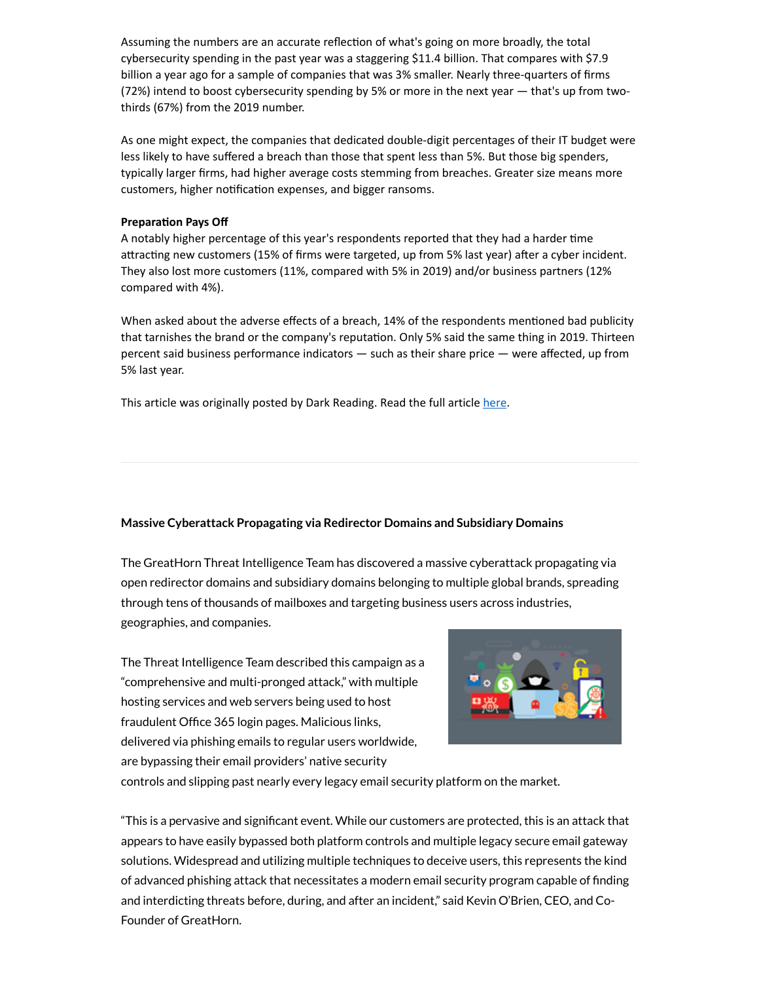Assuming the numbers are an accurate reflection of what's going on more broadly, the total cybersecurity spending in the past year was a staggering \$11.4 billion. That compares with \$7.9 billion a year ago for a sample of companies that was 3% smaller. Nearly three-quarters of firms (72%) intend to boost cybersecurity spending by 5% or more in the next year — that's up from twothirds (67%) from the 2019 number.

As one might expect, the companies that dedicated double-digit percentages of their IT budget were less likely to have suffered a breach than those that spent less than 5%. But those big spenders, typically larger firms, had higher average costs stemming from breaches. Greater size means more customers, higher notification expenses, and bigger ransoms.

#### **Preparation Pays Off**

A notably higher percentage of this year's respondents reported that they had a harder time attracting new customers (15% of firms were targeted, up from 5% last year) after a cyber incident. They also lost more customers (11%, compared with 5% in 2019) and/or business partners (12% compared with 4%).

When asked about the adverse effects of a breach, 14% of the respondents mentioned bad publicity that tarnishes the brand or the company's reputation. Only 5% said the same thing in 2019. Thirteen percent said business performance indicators — such as their share price — were affected, up from 5% last year.

This article was originally posted by Dark Reading. Read the full article [here.](https://www.darkreading.com/vulnerabilities---threats/cybercrime-losses-up-50--exceeding-$18b/a/d-id/1339041?_mc=rss_x_drr_edt_aud_dr_x_x-rss-simple)

#### **Massive Cyberattack Propagating via Redirector Domains and Subsidiary Domains**

The GreatHorn Threat Intelligence Team has discovered a massive cyberattack propagating via open redirector domains and subsidiary domains belonging to multiple global brands, spreading through tens of thousands of mailboxes and targeting business users across industries, geographies, and companies.

The Threat Intelligence Team described this campaign as a "comprehensive and multi-pronged attack," with multiple hosting services and web servers being used to host fraudulent Office 365 login pages. Malicious links, delivered via phishing emails to regular users worldwide, are bypassing their email providers' native security



controls and slipping past nearly every legacy email security platform on the market.

 $\hat{a}$  This is a pervasive and significant event. While our customers are protected, this is an attack that appears to have easily bypassed both platform controls and multiple legacy secure email gateway solutions. Widespread and utilizing multiple techniques to deceive users, this represents the kind of advanced phishing attack that necessitates a modern email security program capable of finding and interdicting threats before, during, and after an incident," said Kevin O'Brien, CEO, and Co-Founder of GreatHorn.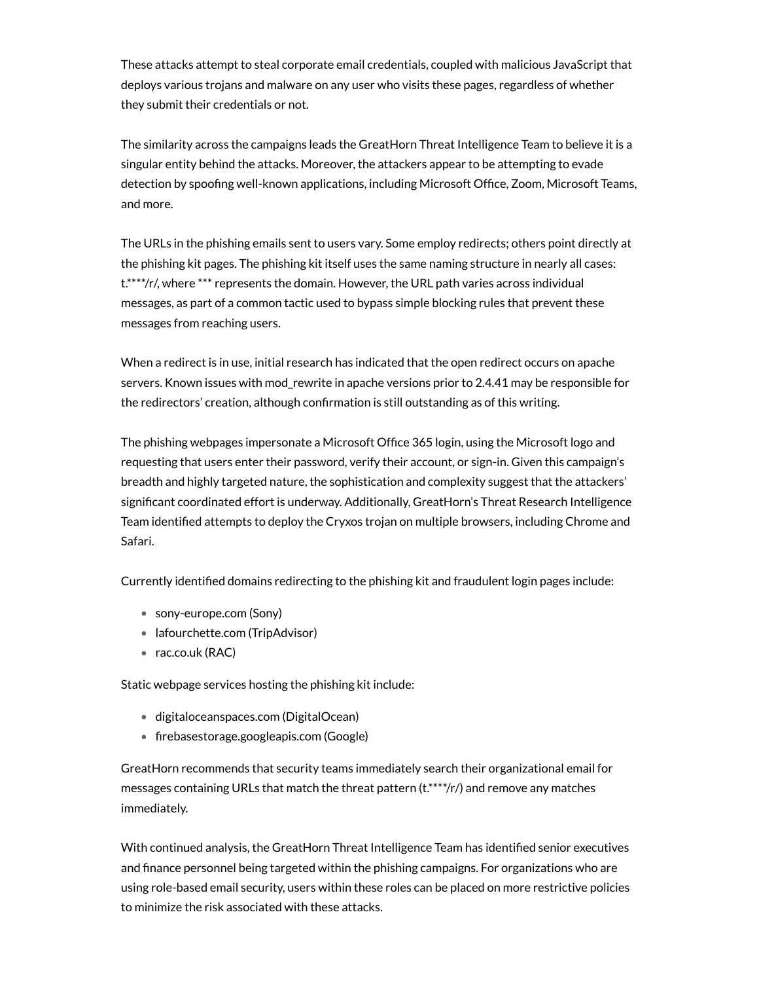These attacks attempt to steal corporate email credentials, coupled with malicious JavaScript that deploys various trojans and malware on any user who visits these pages, regardless of whether they submit their credentials or not.

The similarity across the campaigns leads the GreatHorn Threat Intelligence Team to believe it is a singular entity behind the attacks. Moreover, the attackers appear to be attempting to evade detection by spoofing well-known applications, including Microsoft Office, Zoom, Microsoft Teams, and more.

The URLs in the phishing emails sent to users vary. Some employ redirects; others point directly at the phishing kit pages. The phishing kit itself uses the same naming structure in nearly all cases: t.\*\*\*\*/r/, where \*\*\* represents the domain. However, the URL path varies across individual messages, as part of a common tactic used to bypass simple blocking rules that prevent these messages from reaching users.

When a redirect is in use, initial research has indicated that the open redirect occurs on apache servers. Known issues with mod\_rewrite in apache versions prior to 2.4.41 may be responsible for the redirectors' creation, although confirmation is still outstanding as of this writing.

The phishing webpages impersonate a Microsoft Office 365 login, using the Microsoft logo and requesting that users enter their password, verify their account, or sign-in. Given this campaign's breadth and highly targeted nature, the sophistication and complexity suggest that the attackers' significant coordinated effort is underway. Additionally, GreatHorn's Threat Research Intelligence Team identified attempts to deploy the Cryxos trojan on multiple browsers, including Chrome and Safari.

Currently identified domains redirecting to the phishing kit and fraudulent login pages include:

- sony-europe.com (Sony)
- lafourchette.com (TripAdvisor)
- rac.co.uk (RAC)

Static webpage services hosting the phishing kit include:

- digitaloceanspaces.com (DigitalOcean)
- firebasestorage.googleapis.com (Google)

GreatHorn recommends that security teams immediately search their organizational email for messages containing URLs that match the threat pattern (t.\*\*\*\*/r/) and remove any matches immediately.

With continued analysis, the GreatHorn Threat Intelligence Team has identified senior executives and finance personnel being targeted within the phishing campaigns. For organizations who are using role-based email security, users within these roles can be placed on more restrictive policies to minimize the risk associated with these attacks.